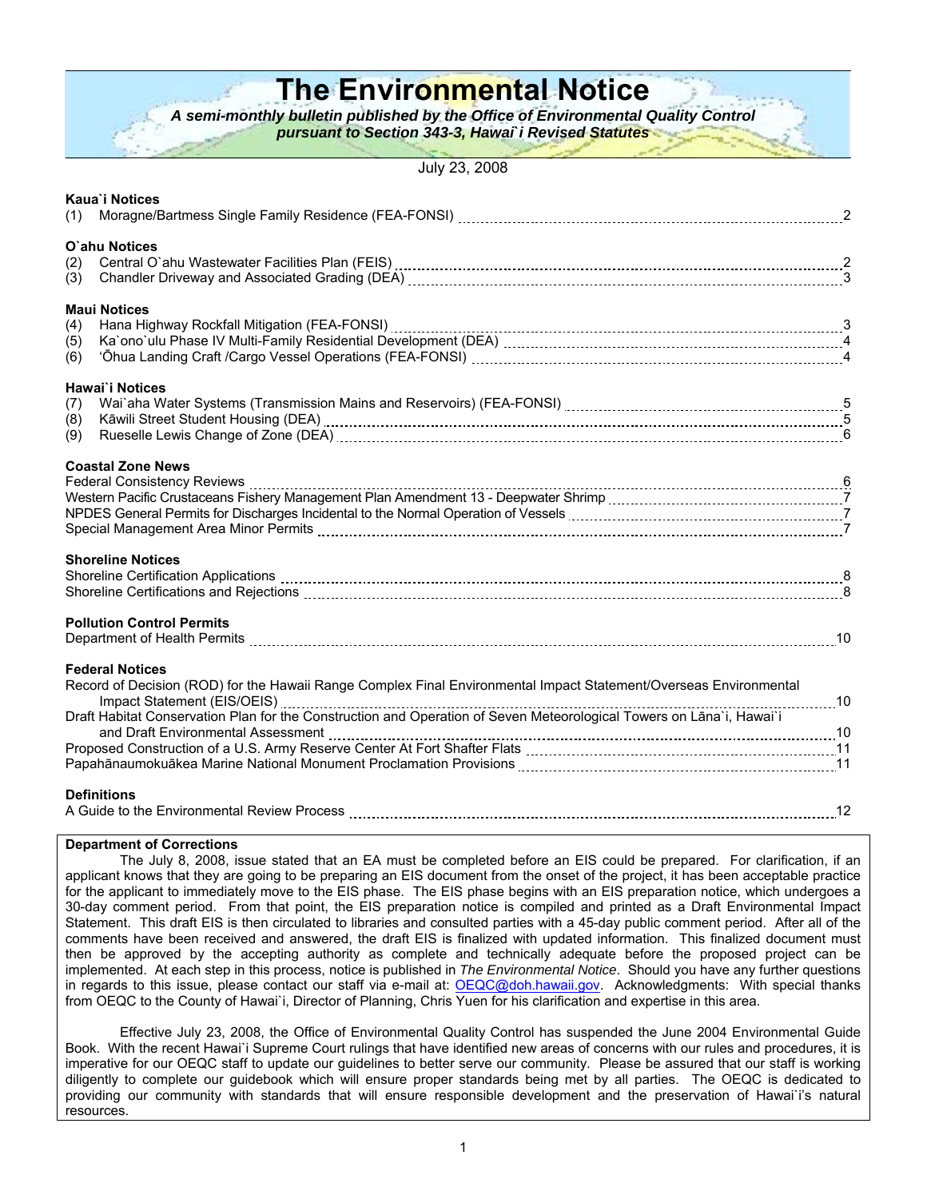# **The Environmental Notice**

*A semi-monthly bulletin published by the Office of Environmental Quality Control* 

*pursuant to Section 343-3, Hawai***`***i Revised Statutes*

July 23, 2008

| (1)               | Kaua'i Notices                                                                                                                                                                                                                                                                                                                                                                                                                                                                                                                                                |  |
|-------------------|---------------------------------------------------------------------------------------------------------------------------------------------------------------------------------------------------------------------------------------------------------------------------------------------------------------------------------------------------------------------------------------------------------------------------------------------------------------------------------------------------------------------------------------------------------------|--|
| (2)<br>(3)        | O'ahu Notices                                                                                                                                                                                                                                                                                                                                                                                                                                                                                                                                                 |  |
| (4)<br>(5)<br>(6) | <b>Maui Notices</b><br>Hana Highway Rockfall Mitigation (FEA-FONSI) [11] Hansell Cheapter Controller and Highway Rockfall Mitigation<br>Ka`ono`ulu Phase IV Multi-Family Residential Development (DEA) [11] [11] Marsell Cheapter and Al-Annan Annan A                                                                                                                                                                                                                                                                                                        |  |
| (7)<br>(8)<br>(9) | Hawai'i Notices                                                                                                                                                                                                                                                                                                                                                                                                                                                                                                                                               |  |
|                   | <b>Coastal Zone News</b><br>NPDES General Permits for Discharges Incidental to the Normal Operation of Vessels [111] NPDES General Permits for Discharges Incidental to the Normal Operation of Vessels [111] 1714.                                                                                                                                                                                                                                                                                                                                           |  |
|                   | <b>Shoreline Notices</b><br>Shoreline Certifications and Rejections [11, 12] Allen Manuschines and Rejections and Rejections and Rejections [16] Allen Manuschines and Temperature and Rejections [80] Allen Manuschines and Rejections and Rejections and                                                                                                                                                                                                                                                                                                    |  |
|                   | <b>Pollution Control Permits</b><br>Department of Health Permits [1001] 10 non-contract the contract of Health Permits [10] non-contract the contract the contract of the contract of the contract of the contract of the contract of the contract of the contract                                                                                                                                                                                                                                                                                            |  |
|                   | <b>Federal Notices</b><br>Record of Decision (ROD) for the Hawaii Range Complex Final Environmental Impact Statement/Overseas Environmental<br>Impact Statement (EIS/OEIS) [10] Impact Statement (EIS/OEIS) [10] Impact Statement (EIS/OEIS) [10] Intertion and Operation of Seven Meteorological Towers on Lana`i, Hawai`i<br>and Draft Environmental Assessment [10] and Draft Environmental Assessment [10] and Draft Environmental Assessment [10] Proposed Construction of a U.S. Army Reserve Center At Fort Shafter Flats [10] and matter construction |  |
|                   | <b>Definitions</b>                                                                                                                                                                                                                                                                                                                                                                                                                                                                                                                                            |  |

#### **Department of Corrections**

The July 8, 2008, issue stated that an EA must be completed before an EIS could be prepared. For clarification, if an applicant knows that they are going to be preparing an EIS document from the onset of the project, it has been acceptable practice for the applicant to immediately move to the EIS phase. The EIS phase begins with an EIS preparation notice, which undergoes a 30-day comment period. From that point, the EIS preparation notice is compiled and printed as a Draft Environmental Impact Statement. This draft EIS is then circulated to libraries and consulted parties with a 45-day public comment period. After all of the comments have been received and answered, the draft EIS is finalized with updated information. This finalized document must then be approved by the accepting authority as complete and technically adequate before the proposed project can be implemented. At each step in this process, notice is published in *The Environmental Notice*. Should you have any further questions in regards to this issue, please contact our staff via e-mail at: [OEQC@doh.hawaii.gov](mailto:OEQC@doh.hawaii.gov). Acknowledgments: With special thanks from OEQC to the County of Hawai`i, Director of Planning, Chris Yuen for his clarification and expertise in this area.

Effective July 23, 2008, the Office of Environmental Quality Control has suspended the June 2004 Environmental Guide Book. With the recent Hawai`i Supreme Court rulings that have identified new areas of concerns with our rules and procedures, it is imperative for our OEQC staff to update our guidelines to better serve our community. Please be assured that our staff is working diligently to complete our guidebook which will ensure proper standards being met by all parties. The OEQC is dedicated to providing our community with standards that will ensure responsible development and the preservation of Hawai`i's natural resources.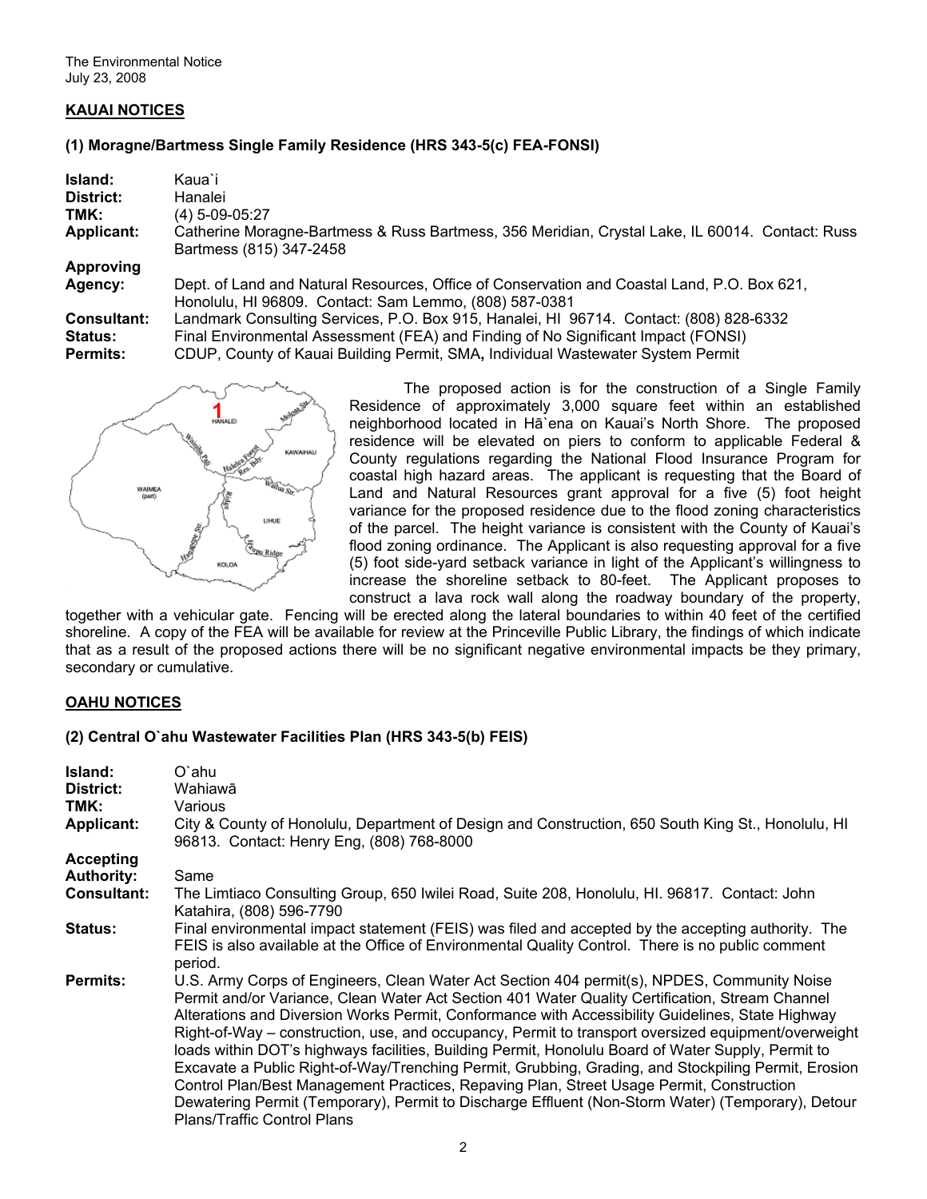## **KAUAI NOTICES**

#### **(1) Moragne/Bartmess Single Family Residence (HRS 343-5(c) FEA-FONSI)**

| Island:            | Kaua`i                                                                                                                                                |
|--------------------|-------------------------------------------------------------------------------------------------------------------------------------------------------|
| District:          | Hanalei                                                                                                                                               |
| TMK:               | $(4)$ 5-09-05:27                                                                                                                                      |
| <b>Applicant:</b>  | Catherine Moragne-Bartmess & Russ Bartmess, 356 Meridian, Crystal Lake, IL 60014. Contact: Russ<br>Bartmess (815) 347-2458                            |
| <b>Approving</b>   |                                                                                                                                                       |
| Agency:            | Dept. of Land and Natural Resources, Office of Conservation and Coastal Land, P.O. Box 621,<br>Honolulu, HI 96809. Contact: Sam Lemmo, (808) 587-0381 |
| <b>Consultant:</b> | Landmark Consulting Services, P.O. Box 915, Hanalei, HI 96714. Contact: (808) 828-6332                                                                |
| <b>Status:</b>     | Final Environmental Assessment (FEA) and Finding of No Significant Impact (FONSI)                                                                     |
| <b>Permits:</b>    | CDUP, County of Kauai Building Permit, SMA, Individual Wastewater System Permit                                                                       |



The proposed action is for the construction of a Single Family Residence of approximately 3,000 square feet within an established neighborhood located in Hā[`ena](http://wehewehe.org/gsdl2.5/cgi-bin/hdict?e=q-0hdict--00-0-0--010---4----den--0-000lpm--1en-Zz-1---Zz-1-home-Haena--00031-0000escapewin-00&a=q&d=D2227) on Kauai's North Shore. The proposed residence will be elevated on piers to conform to applicable Federal & County regulations regarding the National Flood Insurance Program for coastal high hazard areas. The applicant is requesting that the Board of Land and Natural Resources grant approval for a five (5) foot height variance for the proposed residence due to the flood zoning characteristics of the parcel. The height variance is consistent with the County of Kauai's flood zoning ordinance. The Applicant is also requesting approval for a five (5) foot side-yard setback variance in light of the Applicant's willingness to increase the shoreline setback to 80-feet. The Applicant proposes to construct a lava rock wall along the roadway boundary of the property,

together with a vehicular gate. Fencing will be erected along the lateral boundaries to within 40 feet of the certified shoreline. A copy of the FEA will be available for review at the Princeville Public Library, the findings of which indicate that as a result of the proposed actions there will be no significant negative environmental impacts be they primary, secondary or cumulative.

#### **OAHU NOTICES**

#### **(2) Central O`ahu Wastewater Facilities Plan (HRS 343-5(b) FEIS)**

| Island:            | O`ahu                                                                                                                                                                                                                                                                                                                                                                                                                                                                                                                                                                                                                                                                                                                                                                                                                                                         |
|--------------------|---------------------------------------------------------------------------------------------------------------------------------------------------------------------------------------------------------------------------------------------------------------------------------------------------------------------------------------------------------------------------------------------------------------------------------------------------------------------------------------------------------------------------------------------------------------------------------------------------------------------------------------------------------------------------------------------------------------------------------------------------------------------------------------------------------------------------------------------------------------|
| District:          | Wahiawā                                                                                                                                                                                                                                                                                                                                                                                                                                                                                                                                                                                                                                                                                                                                                                                                                                                       |
| TMK:               | Various                                                                                                                                                                                                                                                                                                                                                                                                                                                                                                                                                                                                                                                                                                                                                                                                                                                       |
| <b>Applicant:</b>  | City & County of Honolulu, Department of Design and Construction, 650 South King St., Honolulu, HI<br>96813. Contact: Henry Eng. (808) 768-8000                                                                                                                                                                                                                                                                                                                                                                                                                                                                                                                                                                                                                                                                                                               |
| <b>Accepting</b>   |                                                                                                                                                                                                                                                                                                                                                                                                                                                                                                                                                                                                                                                                                                                                                                                                                                                               |
| <b>Authority:</b>  | Same                                                                                                                                                                                                                                                                                                                                                                                                                                                                                                                                                                                                                                                                                                                                                                                                                                                          |
| <b>Consultant:</b> | The Limtiaco Consulting Group, 650 Iwilei Road, Suite 208, Honolulu, HI. 96817. Contact: John<br>Katahira, (808) 596-7790                                                                                                                                                                                                                                                                                                                                                                                                                                                                                                                                                                                                                                                                                                                                     |
| <b>Status:</b>     | Final environmental impact statement (FEIS) was filed and accepted by the accepting authority. The<br>FEIS is also available at the Office of Environmental Quality Control. There is no public comment<br>period.                                                                                                                                                                                                                                                                                                                                                                                                                                                                                                                                                                                                                                            |
| <b>Permits:</b>    | U.S. Army Corps of Engineers, Clean Water Act Section 404 permit(s), NPDES, Community Noise<br>Permit and/or Variance, Clean Water Act Section 401 Water Quality Certification, Stream Channel<br>Alterations and Diversion Works Permit, Conformance with Accessibility Guidelines, State Highway<br>Right-of-Way – construction, use, and occupancy, Permit to transport oversized equipment/overweight<br>loads within DOT's highways facilities, Building Permit, Honolulu Board of Water Supply, Permit to<br>Excavate a Public Right-of-Way/Trenching Permit, Grubbing, Grading, and Stockpiling Permit, Erosion<br>Control Plan/Best Management Practices, Repaving Plan, Street Usage Permit, Construction<br>Dewatering Permit (Temporary), Permit to Discharge Effluent (Non-Storm Water) (Temporary), Detour<br><b>Plans/Traffic Control Plans</b> |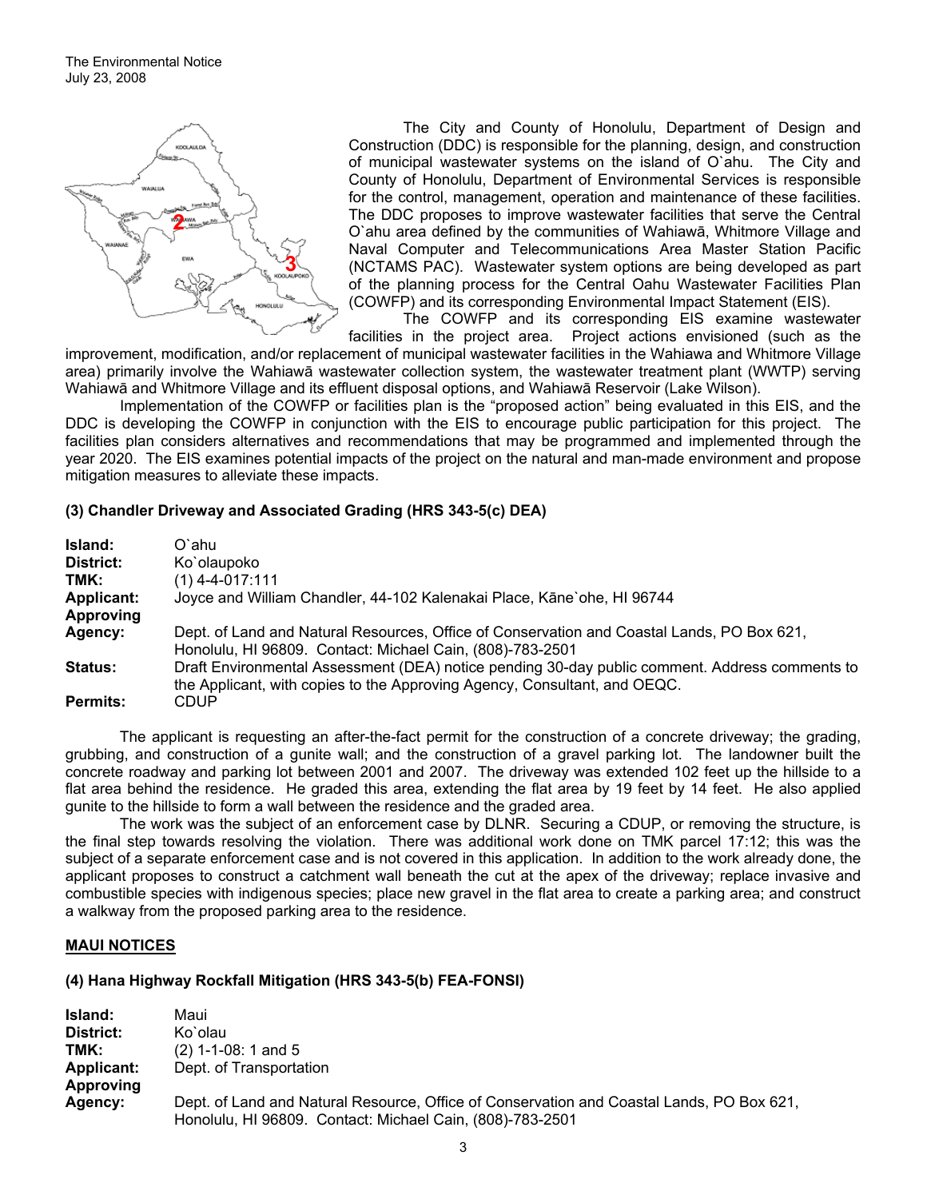

(COWFP) and its corresponding Environmental Impact Statement (EIS). The City and County of Honolulu, Department of Design and Construction (DDC) is responsible for the planning, design, and construction of municipal wastewater systems on the island of O`ahu. The City and County of Honolulu, Department of Environmental Services is responsible for the control, management, operation and maintenance of these facilities. The DDC proposes to improve wastewater facilities that serve the Central O`ahu area defined by the communities of Wahiawā, Whitmore Village and Naval Computer and Telecommunications Area Master Station Pacific (NCTAMS PAC). Wastewater system options are being developed as part of the planning process for the Central Oahu Wastewater Facilities Plan

The COWFP and its corresponding EIS examine wastewater

facilities in the project area. Project actions envisioned (such as the improvement, modification, and/or replacement of municipal wastewater facilities in the Wahiawa and Whitmore Village area) primarily involve the Wahiawā wastewater collection system, the wastewater treatment plant (WWTP) serving Wahiawā and Whitmore Village and its effluent disposal options, and Wahiawā Reservoir (Lake Wilson).

Implementation of the COWFP or facilities plan is the "proposed action" being evaluated in this EIS, and the DDC is developing the COWFP in conjunction with the EIS to encourage public participation for this project. The facilities plan considers alternatives and recommendations that may be programmed and implemented through the year 2020. The EIS examines potential impacts of the project on the natural and man-made environment and propose mitigation measures to alleviate these impacts.

#### **(3) Chandler Driveway and Associated Grading (HRS 343-5(c) DEA)**

| Island:         | O`ahu                                                                                                                                                                       |
|-----------------|-----------------------------------------------------------------------------------------------------------------------------------------------------------------------------|
| District:       | Ko`olaupoko                                                                                                                                                                 |
| TMK:            | $(1)$ 4-4-017:111                                                                                                                                                           |
| Applicant:      | Joyce and William Chandler, 44-102 Kalenakai Place, Kāne'ohe, HI 96744                                                                                                      |
| Approving       |                                                                                                                                                                             |
| Agency:         | Dept. of Land and Natural Resources, Office of Conservation and Coastal Lands, PO Box 621,<br>Honolulu, HI 96809. Contact: Michael Cain, (808)-783-2501                     |
| <b>Status:</b>  | Draft Environmental Assessment (DEA) notice pending 30-day public comment. Address comments to<br>the Applicant, with copies to the Approving Agency, Consultant, and OEQC. |
| <b>Permits:</b> | CDUP                                                                                                                                                                        |

The applicant is requesting an after-the-fact permit for the construction of a concrete driveway; the grading, grubbing, and construction of a gunite wall; and the construction of a gravel parking lot. The landowner built the concrete roadway and parking lot between 2001 and 2007. The driveway was extended 102 feet up the hillside to a flat area behind the residence. He graded this area, extending the flat area by 19 feet by 14 feet. He also applied gunite to the hillside to form a wall between the residence and the graded area.

The work was the subject of an enforcement case by DLNR. Securing a CDUP, or removing the structure, is the final step towards resolving the violation. There was additional work done on TMK parcel 17:12; this was the subject of a separate enforcement case and is not covered in this application. In addition to the work already done, the applicant proposes to construct a catchment wall beneath the cut at the apex of the driveway; replace invasive and combustible species with indigenous species; place new gravel in the flat area to create a parking area; and construct a walkway from the proposed parking area to the residence.

## **MAUI NOTICES**

#### **(4) Hana Highway Rockfall Mitigation (HRS 343-5(b) FEA-FONSI)**

**Island:** Maui **District:** Ko`olau **TMK:** (2) 1-1-08: 1 and 5 **Applicant:** Dept. of Transportation **Approving Agency:** Dept. of Land and Natural Resource, Office of Conservation and Coastal Lands, PO Box 621, Honolulu, HI 96809. Contact: Michael Cain, (808)-783-2501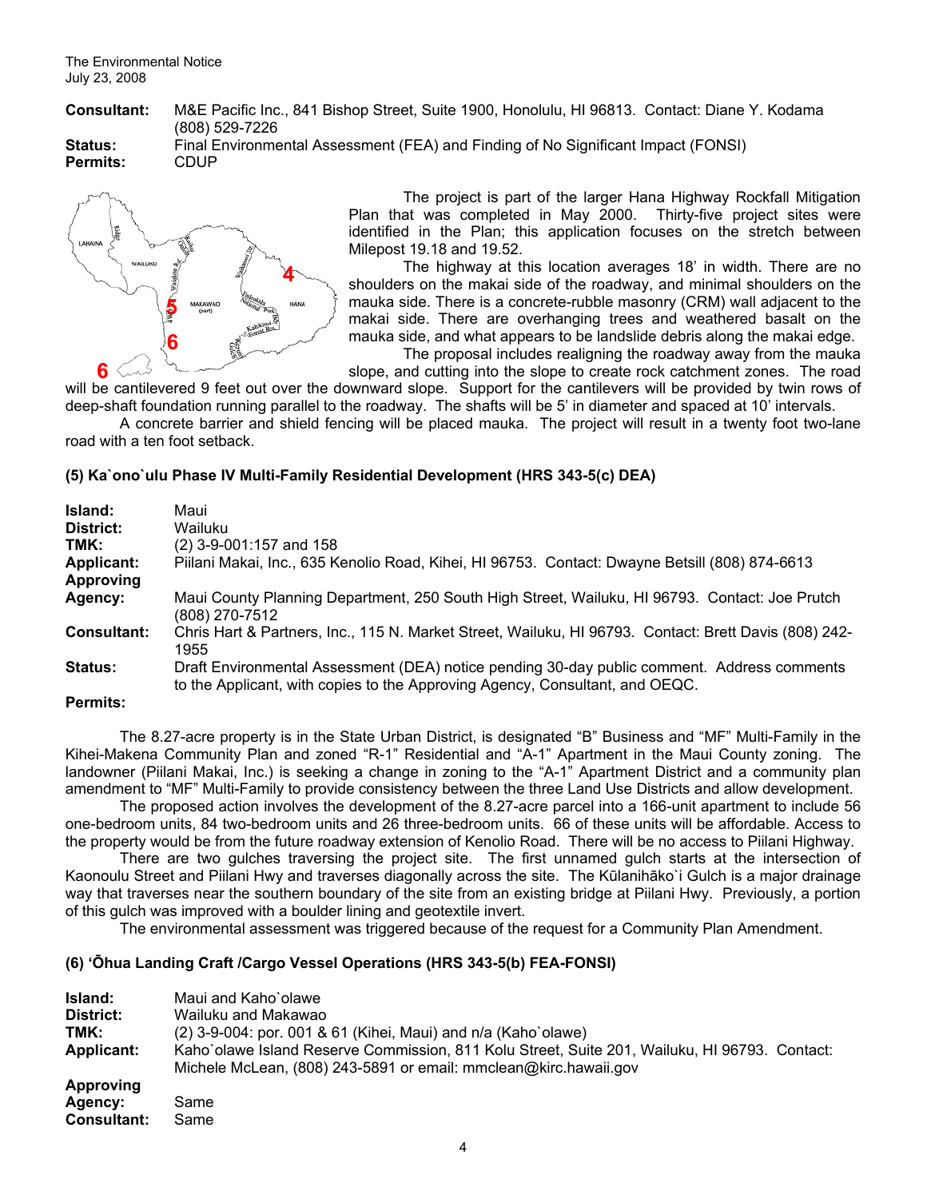**Consultant:** M&E Pacific Inc., 841 Bishop Street, Suite 1900, Honolulu, HI 96813. Contact: Diane Y. Kodama (808) 529-7226

**Permits:** CDUP

**Status:** Final Environmental Assessment (FEA) and Finding of No Significant Impact (FONSI)



The project is part of the larger Hana Highway Rockfall Mitigation Plan that was completed in May 2000. Thirty-five project sites were identified in the Plan; this application focuses on the stretch between Milepost 19.18 and 19.52.

The highway at this location averages 18' in width. There are no shoulders on the makai side of the roadway, and minimal shoulders on the mauka side. There is a concrete-rubble masonry (CRM) wall adjacent to the makai side. There are overhanging trees and weathered basalt on the mauka side, and what appears to be landslide debris along the makai edge. The proposal includes realigning the roadway away from the mauka

slope, and cutting into the slope to create rock catchment zones. The road

will be cantilevered 9 feet out over the downward slope. Support for the cantilevers will be provided by twin rows of deep-shaft foundation running parallel to the roadway. The shafts will be 5' in diameter and spaced at 10' intervals.

A concrete barrier and shield fencing will be placed mauka. The project will result in a twenty foot two-lane road with a ten foot setback.

## **(5) Ka`ono`ulu Phase IV Multi-Family Residential Development (HRS 343-5(c) DEA)**

| <b>Island:</b>     | Maui                                                                                                                                                                        |
|--------------------|-----------------------------------------------------------------------------------------------------------------------------------------------------------------------------|
| District:          | Wailuku                                                                                                                                                                     |
| TMK:               | (2) 3-9-001:157 and 158                                                                                                                                                     |
| <b>Applicant:</b>  | Piilani Makai, Inc., 635 Kenolio Road, Kihei, HI 96753. Contact: Dwayne Betsill (808) 874-6613                                                                              |
| <b>Approving</b>   |                                                                                                                                                                             |
| Agency:            | Maui County Planning Department, 250 South High Street, Wailuku, HI 96793. Contact: Joe Prutch<br>(808) 270-7512                                                            |
| <b>Consultant:</b> | Chris Hart & Partners, Inc., 115 N. Market Street, Wailuku, HI 96793. Contact: Brett Davis (808) 242-<br>1955                                                               |
| <b>Status:</b>     | Draft Environmental Assessment (DEA) notice pending 30-day public comment. Address comments<br>to the Applicant, with copies to the Approving Agency, Consultant, and OEQC. |
| <b>Permits:</b>    |                                                                                                                                                                             |

The 8.27-acre property is in the State Urban District, is designated "B" Business and "MF" Multi-Family in the Kihei-Makena Community Plan and zoned "R-1" Residential and "A-1" Apartment in the Maui County zoning. The landowner (Piilani Makai, Inc.) is seeking a change in zoning to the "A-1" Apartment District and a community plan amendment to "MF" Multi-Family to provide consistency between the three Land Use Districts and allow development.

The proposed action involves the development of the 8.27-acre parcel into a 166-unit apartment to include 56 one-bedroom units, 84 two-bedroom units and 26 three-bedroom units. 66 of these units will be affordable. Access to the property would be from the future roadway extension of Kenolio Road. There will be no access to Piilani Highway.

There are two gulches traversing the project site. The first unnamed gulch starts at the intersection of Kaonoulu Street and Piilani Hwy and traverses diagonally across the site. The Kūlanihāko`i Gulch is a major drainage way that traverses near the southern boundary of the site from an existing bridge at Piilani Hwy. Previously, a portion of this gulch was improved with a boulder lining and geotextile invert.

The environmental assessment was triggered because of the request for a Community Plan Amendment.

## **(6) 'Ōhua Landing Craft /Cargo Vessel Operations (HRS 343-5(b) FEA-FONSI)**

| Island:<br>District:<br>TMK:<br>Applicant: | Maui and Kaho'olawe<br>Wailuku and Makawao<br>$(2)$ 3-9-004: por. 001 & 61 (Kihei, Maui) and n/a (Kaho`olawe)<br>Kaho`olawe Island Reserve Commission, 811 Kolu Street, Suite 201, Wailuku, HI 96793. Contact:<br>Michele McLean, (808) 243-5891 or email: mmclean@kirc.hawaii.gov |
|--------------------------------------------|------------------------------------------------------------------------------------------------------------------------------------------------------------------------------------------------------------------------------------------------------------------------------------|
| <b>Approving</b><br>Agency:<br>Consultant: | Same<br>Same                                                                                                                                                                                                                                                                       |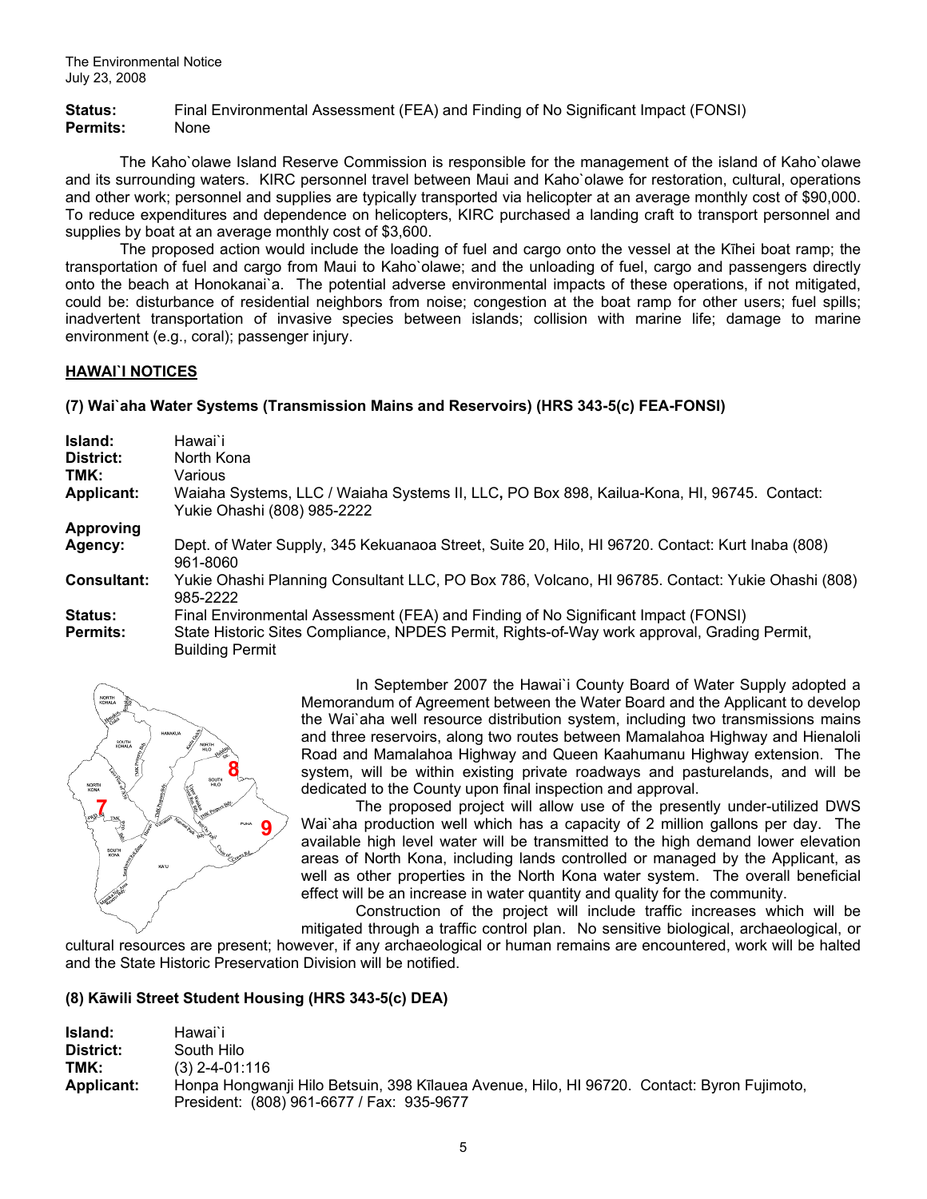**Status:** Final Environmental Assessment (FEA) and Finding of No Significant Impact (FONSI) **Permits:** None

The Kaho`olawe Island Reserve Commission is responsible for the management of the island of Kaho`olawe and its surrounding waters. KIRC personnel travel between Maui and Kaho`olawe for restoration, cultural, operations and other work; personnel and supplies are typically transported via helicopter at an average monthly cost of \$90,000. To reduce expenditures and dependence on helicopters, KIRC purchased a landing craft to transport personnel and supplies by boat at an average monthly cost of \$3,600.

The proposed action would include the loading of fuel and cargo onto the vessel at the Kīhei boat ramp; the transportation of fuel and cargo from Maui to Kaho`olawe; and the unloading of fuel, cargo and passengers directly onto the beach at Honokanai`a. The potential adverse environmental impacts of these operations, if not mitigated, could be: disturbance of residential neighbors from noise; congestion at the boat ramp for other users; fuel spills; inadvertent transportation of invasive species between islands; collision with marine life; damage to marine environment (e.g., coral); passenger injury.

#### **HAWAI`I NOTICES**

## **(7) Wai`aha Water Systems (Transmission Mains and Reservoirs) (HRS 343-5(c) FEA-FONSI)**

| Island:<br>District:<br>TMK:<br><b>Applicant:</b> | Hawai`i<br>North Kona<br>Various<br>Waiaha Systems, LLC / Waiaha Systems II, LLC, PO Box 898, Kailua-Kona, HI, 96745. Contact:<br>Yukie Ohashi (808) 985-2222                                              |
|---------------------------------------------------|------------------------------------------------------------------------------------------------------------------------------------------------------------------------------------------------------------|
| <b>Approving</b><br>Agency:                       | Dept. of Water Supply, 345 Kekuanaoa Street, Suite 20, Hilo, HI 96720. Contact: Kurt Inaba (808)<br>961-8060                                                                                               |
| <b>Consultant:</b>                                | Yukie Ohashi Planning Consultant LLC, PO Box 786, Volcano, HI 96785. Contact: Yukie Ohashi (808)<br>985-2222                                                                                               |
| <b>Status:</b><br><b>Permits:</b>                 | Final Environmental Assessment (FEA) and Finding of No Significant Impact (FONSI)<br>State Historic Sites Compliance, NPDES Permit, Rights-of-Way work approval, Grading Permit,<br><b>Building Permit</b> |



In September 2007 the Hawai`i County Board of Water Supply adopted a Memorandum of Agreement between the Water Board and the Applicant to develop the Wai`aha well resource distribution system, including two transmissions mains and three reservoirs, along two routes between Mamalahoa Highway and Hienaloli Road and Mamalahoa Highway and Queen Kaahumanu Highway extension. The system, will be within existing private roadways and pasturelands, and will be dedicated to the County upon final inspection and approval.

The proposed project will allow use of the presently under-utilized DWS Wai`aha production well which has a capacity of 2 million gallons per day. The available high level water will be transmitted to the high demand lower elevation areas of North Kona, including lands controlled or managed by the Applicant, as well as other properties in the North Kona water system. The overall beneficial effect will be an increase in water quantity and quality for the community.

 Construction of the project will include traffic increases which will be mitigated through a traffic control plan. No sensitive biological, archaeological, or

cultural resources are present; however, if any archaeological or human remains are encountered, work will be halted and the State Historic Preservation Division will be notified.

## **(8) Kāwili Street Student Housing (HRS 343-5(c) DEA)**

| Island:    | Hawai`i                                                                                    |
|------------|--------------------------------------------------------------------------------------------|
| District:  | South Hilo                                                                                 |
| TMK:       | $(3)$ 2-4-01:116                                                                           |
| Applicant: | Honpa Hongwanji Hilo Betsuin, 398 Kīlauea Avenue, Hilo, HI 96720. Contact: Byron Fujimoto, |
|            | President: (808) 961-6677 / Fax: 935-9677                                                  |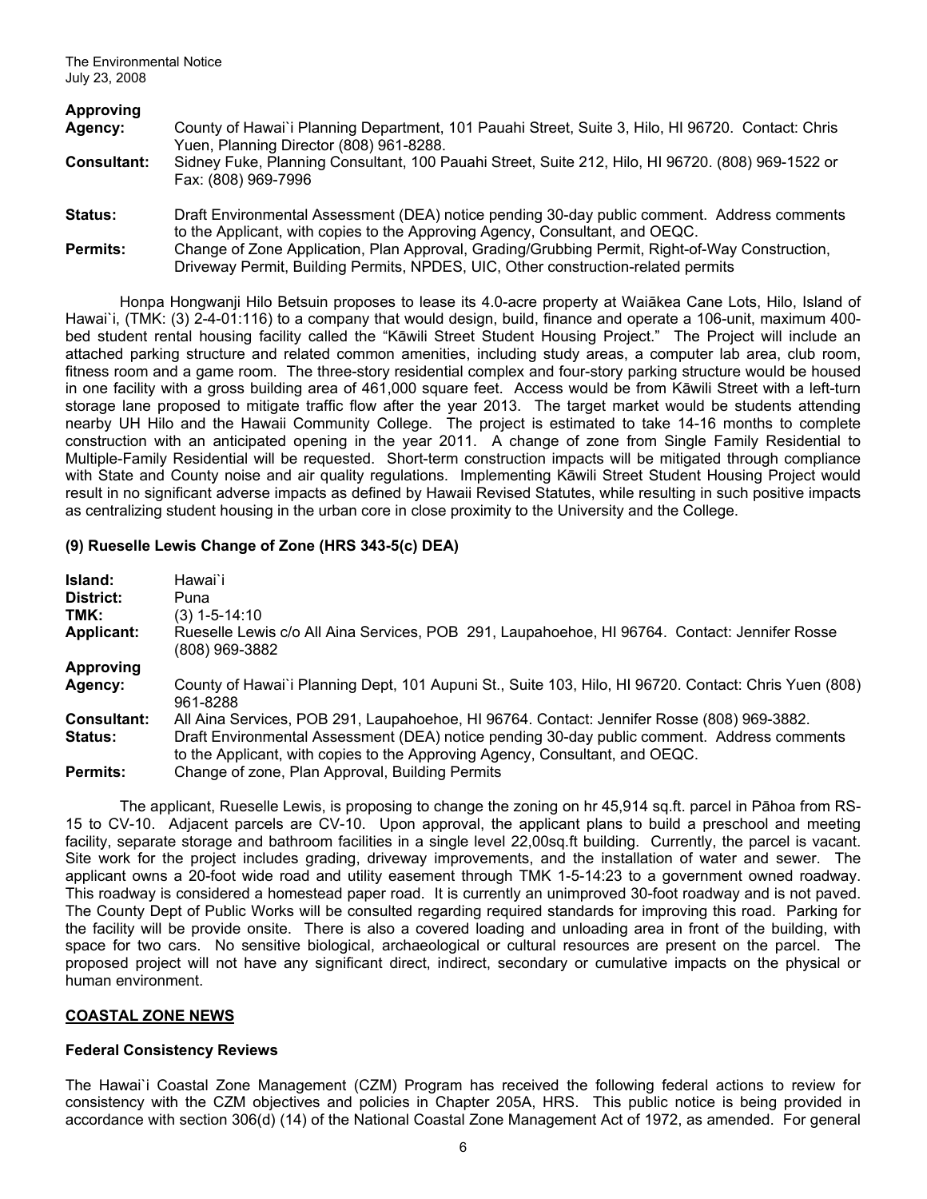| Approving          |                                                                                                                                                                                     |
|--------------------|-------------------------------------------------------------------------------------------------------------------------------------------------------------------------------------|
| Agency:            | County of Hawai'i Planning Department, 101 Pauahi Street, Suite 3, Hilo, HI 96720. Contact: Chris<br>Yuen, Planning Director (808) 961-8288.                                        |
| <b>Consultant:</b> | Sidney Fuke, Planning Consultant, 100 Pauahi Street, Suite 212, Hilo, HI 96720. (808) 969-1522 or<br>Fax: (808) 969-7996                                                            |
| <b>Status:</b>     | Draft Environmental Assessment (DEA) notice pending 30-day public comment. Address comments<br>to the Applicant, with copies to the Approving Agency, Consultant, and OEQC.         |
| <b>Permits:</b>    | Change of Zone Application, Plan Approval, Grading/Grubbing Permit, Right-of-Way Construction,<br>Driveway Permit, Building Permits, NPDES, UIC, Other construction-related permits |

Honpa Hongwanji Hilo Betsuin proposes to lease its 4.0-acre property at Waiākea Cane Lots, Hilo, Island of Hawai`i, (TMK: (3) 2-4-01:116) to a company that would design, build, finance and operate a 106-unit, maximum 400 bed student rental housing facility called the "Kāwili Street Student Housing Project." The Project will include an attached parking structure and related common amenities, including study areas, a computer lab area, club room, fitness room and a game room. The three-story residential complex and four-story parking structure would be housed in one facility with a gross building area of 461,000 square feet. Access would be from Kāwili Street with a left-turn storage lane proposed to mitigate traffic flow after the year 2013. The target market would be students attending nearby UH Hilo and the Hawaii Community College. The project is estimated to take 14-16 months to complete construction with an anticipated opening in the year 2011. A change of zone from Single Family Residential to Multiple-Family Residential will be requested. Short-term construction impacts will be mitigated through compliance with State and County noise and air quality regulations. Implementing Kāwili Street Student Housing Project would result in no significant adverse impacts as defined by Hawaii Revised Statutes, while resulting in such positive impacts as centralizing student housing in the urban core in close proximity to the University and the College.

#### **(9) Rueselle Lewis Change of Zone (HRS 343-5(c) DEA)**

| Island:            | Hawai`i                                                                                                                                                                     |
|--------------------|-----------------------------------------------------------------------------------------------------------------------------------------------------------------------------|
| District:          | Puna                                                                                                                                                                        |
| TMK:               | (3) 1-5-14:10                                                                                                                                                               |
| <b>Applicant:</b>  | Rueselle Lewis c/o All Aina Services, POB 291, Laupahoehoe, HI 96764. Contact: Jennifer Rosse<br>(808) 969-3882                                                             |
| <b>Approving</b>   |                                                                                                                                                                             |
| Agency:            | County of Hawai'i Planning Dept, 101 Aupuni St., Suite 103, Hilo, HI 96720. Contact: Chris Yuen (808)<br>961-8288                                                           |
| <b>Consultant:</b> | All Aina Services, POB 291, Laupahoehoe, HI 96764. Contact: Jennifer Rosse (808) 969-3882.                                                                                  |
| <b>Status:</b>     | Draft Environmental Assessment (DEA) notice pending 30-day public comment. Address comments<br>to the Applicant, with copies to the Approving Agency, Consultant, and OEQC. |
| <b>Permits:</b>    | Change of zone, Plan Approval, Building Permits                                                                                                                             |

 The applicant, Rueselle Lewis, is proposing to change the zoning on hr 45,914 sq.ft. parcel in Pāhoa from RS-15 to CV-10. Adjacent parcels are CV-10. Upon approval, the applicant plans to build a preschool and meeting facility, separate storage and bathroom facilities in a single level 22,00sq.ft building. Currently, the parcel is vacant. Site work for the project includes grading, driveway improvements, and the installation of water and sewer. The applicant owns a 20-foot wide road and utility easement through TMK 1-5-14:23 to a government owned roadway. This roadway is considered a homestead paper road. It is currently an unimproved 30-foot roadway and is not paved. The County Dept of Public Works will be consulted regarding required standards for improving this road. Parking for the facility will be provide onsite. There is also a covered loading and unloading area in front of the building, with space for two cars. No sensitive biological, archaeological or cultural resources are present on the parcel. The proposed project will not have any significant direct, indirect, secondary or cumulative impacts on the physical or human environment.

## **COASTAL ZONE NEWS**

#### **Federal Consistency Reviews**

The Hawai`i Coastal Zone Management (CZM) Program has received the following federal actions to review for consistency with the CZM objectives and policies in Chapter 205A, HRS. This public notice is being provided in accordance with section 306(d) (14) of the National Coastal Zone Management Act of 1972, as amended. For general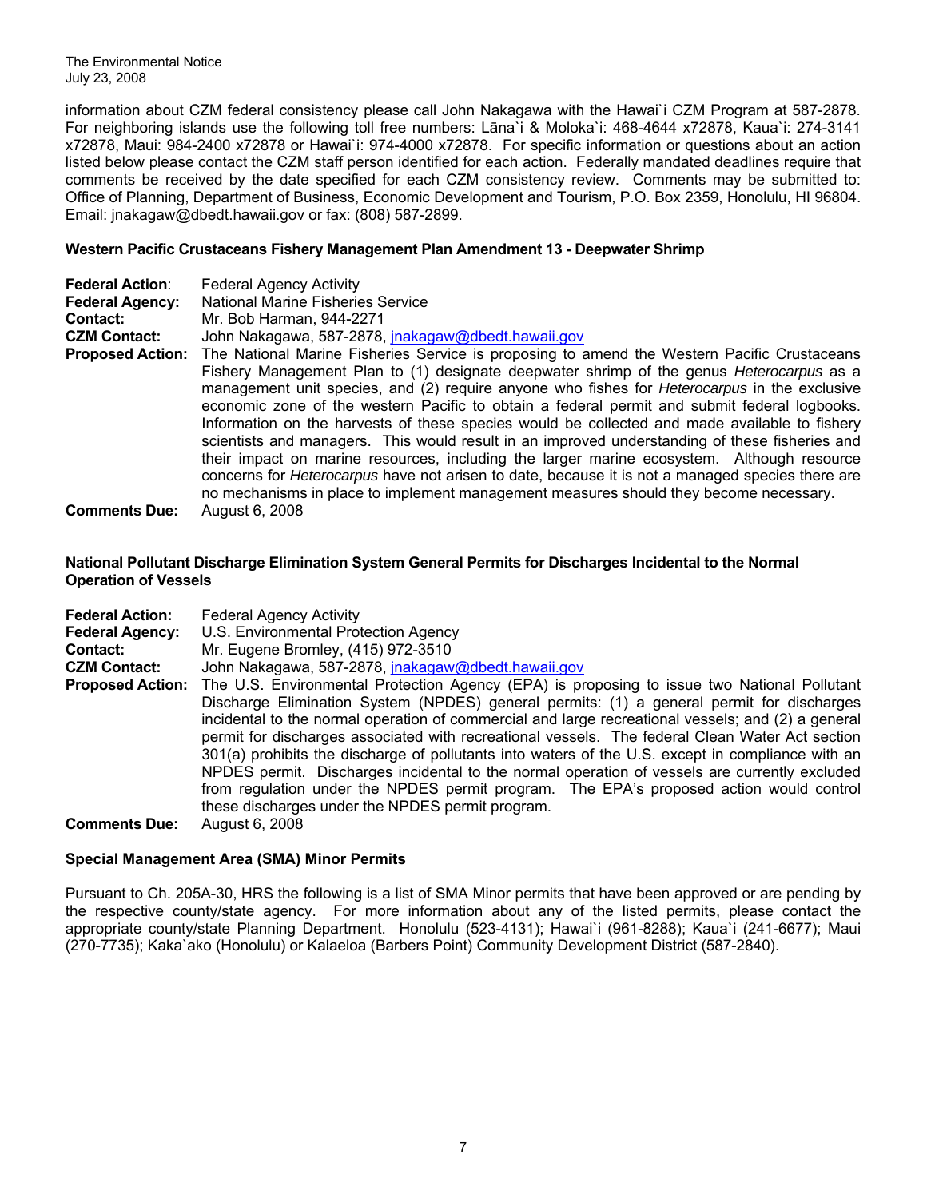The Environmental Notice July 23, 2008

information about CZM federal consistency please call John Nakagawa with the Hawai`i CZM Program at 587-2878. For neighboring islands use the following toll free numbers: Lāna`i & Moloka`i: 468-4644 x72878, Kaua`i: 274-3141 x72878, Maui: 984-2400 x72878 or Hawai`i: 974-4000 x72878. For specific information or questions about an action listed below please contact the CZM staff person identified for each action. Federally mandated deadlines require that comments be received by the date specified for each CZM consistency review. Comments may be submitted to: Office of Planning, Department of Business, Economic Development and Tourism, P.O. Box 2359, Honolulu, HI 96804. Email: [jnakagaw@dbedt.hawaii.gov](mailto:jnakagaw@dbedt.hawaii.gov) or fax: (808) 587-2899.

## **Western Pacific Crustaceans Fishery Management Plan Amendment 13 - Deepwater Shrimp**

| <b>Federal Action:</b>  | <b>Federal Agency Activity</b>                                                                          |
|-------------------------|---------------------------------------------------------------------------------------------------------|
| <b>Federal Agency:</b>  | <b>National Marine Fisheries Service</b>                                                                |
| Contact:                | Mr. Bob Harman, 944-2271                                                                                |
| <b>CZM Contact:</b>     | John Nakagawa, 587-2878, <i>inakagaw@dbedt.hawaii.gov</i>                                               |
| <b>Proposed Action:</b> | The National Marine Fisheries Service is proposing to amend the Western Pacific Crustaceans             |
|                         | Fishery Management Plan to (1) designate deepwater shrimp of the genus <i>Heterocarpus</i> as a         |
|                         | management unit species, and (2) require anyone who fishes for <i>Heterocarpus</i> in the exclusive     |
|                         | economic zone of the western Pacific to obtain a federal permit and submit federal logbooks.            |
|                         | Information on the harvests of these species would be collected and made available to fishery           |
|                         | scientists and managers. This would result in an improved understanding of these fisheries and          |
|                         | their impact on marine resources, including the larger marine ecosystem. Although resource              |
|                         | concerns for <i>Heterocarpus</i> have not arisen to date, because it is not a managed species there are |
|                         | no mechanisms in place to implement management measures should they become necessary.                   |
| <b>Comments Due:</b>    | August 6, 2008                                                                                          |

## **National Pollutant Discharge Elimination System General Permits for Discharges Incidental to the Normal Operation of Vessels**

| <b>Federal Action:</b><br><b>Federal Agency:</b><br><b>Contact:</b> | <b>Federal Agency Activity</b><br>U.S. Environmental Protection Agency<br>Mr. Eugene Bromley, (415) 972-3510                                                                                                                                                                                                                                                                                                                                                                                                                                                                                                                                                                                                                                           |
|---------------------------------------------------------------------|--------------------------------------------------------------------------------------------------------------------------------------------------------------------------------------------------------------------------------------------------------------------------------------------------------------------------------------------------------------------------------------------------------------------------------------------------------------------------------------------------------------------------------------------------------------------------------------------------------------------------------------------------------------------------------------------------------------------------------------------------------|
| <b>CZM Contact:</b>                                                 | John Nakagawa, 587-2878, jnakagaw@dbedt.hawaii.gov                                                                                                                                                                                                                                                                                                                                                                                                                                                                                                                                                                                                                                                                                                     |
| <b>Proposed Action:</b>                                             | The U.S. Environmental Protection Agency (EPA) is proposing to issue two National Pollutant<br>Discharge Elimination System (NPDES) general permits: (1) a general permit for discharges<br>incidental to the normal operation of commercial and large recreational vessels; and (2) a general<br>permit for discharges associated with recreational vessels. The federal Clean Water Act section<br>301(a) prohibits the discharge of pollutants into waters of the U.S. except in compliance with an<br>NPDES permit. Discharges incidental to the normal operation of vessels are currently excluded<br>from regulation under the NPDES permit program. The EPA's proposed action would control<br>these discharges under the NPDES permit program. |
| <b>Comments Due:</b>                                                | August 6, 2008                                                                                                                                                                                                                                                                                                                                                                                                                                                                                                                                                                                                                                                                                                                                         |

#### **Special Management Area (SMA) Minor Permits**

Pursuant to Ch. 205A-30, HRS the following is a list of SMA Minor permits that have been approved or are pending by the respective county/state agency. For more information about any of the listed permits, please contact the appropriate county/state Planning Department. Honolulu (523-4131); Hawai`i (961-8288); Kaua`i (241-6677); Maui (270-7735); Kaka`ako (Honolulu) or Kalaeloa (Barbers Point) Community Development District (587-2840).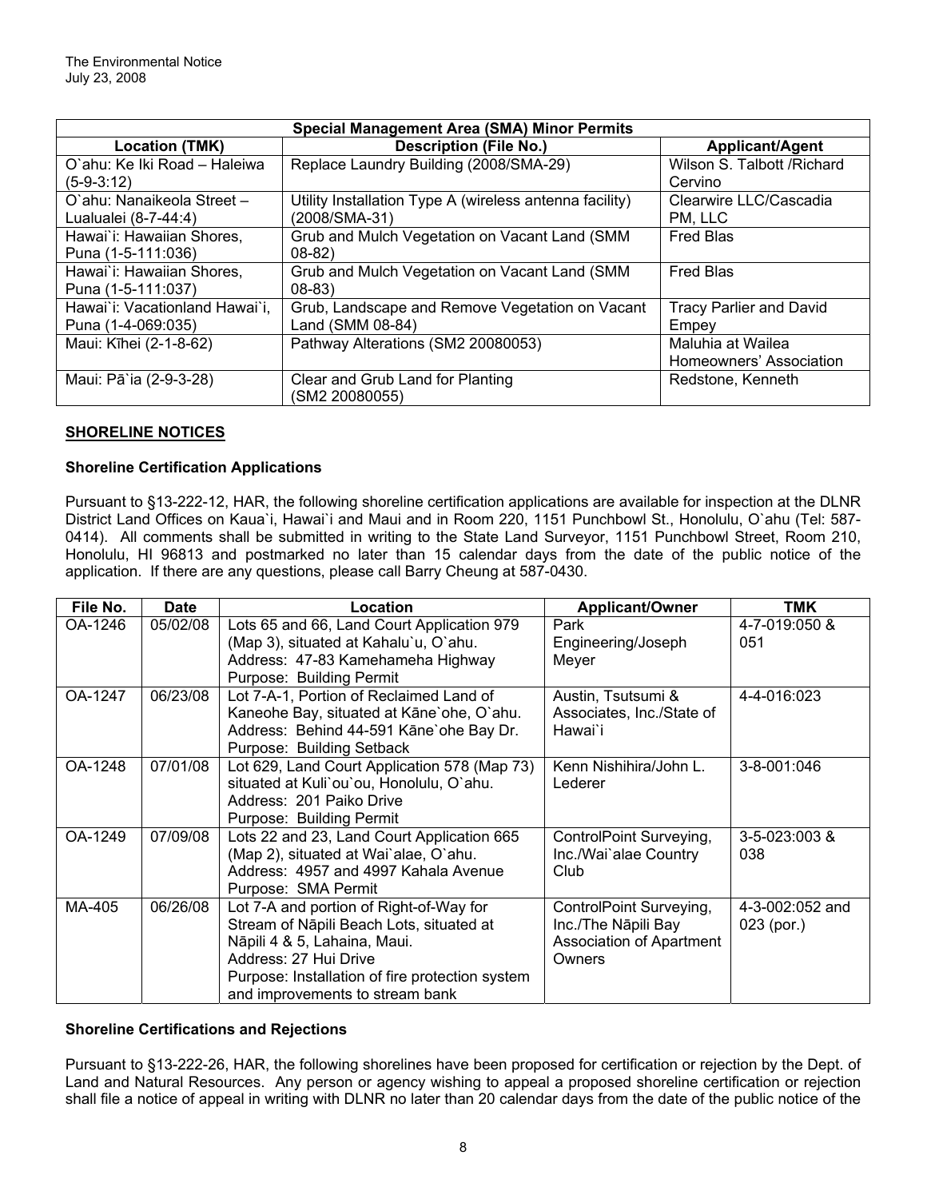| <b>Special Management Area (SMA) Minor Permits</b> |                                                         |                                |  |  |
|----------------------------------------------------|---------------------------------------------------------|--------------------------------|--|--|
| <b>Location (TMK)</b>                              | <b>Description (File No.)</b>                           | <b>Applicant/Agent</b>         |  |  |
| O'ahu: Ke Iki Road - Haleiwa                       | Replace Laundry Building (2008/SMA-29)                  | Wilson S. Talbott / Richard    |  |  |
| $(5-9-3:12)$                                       |                                                         | Cervino                        |  |  |
| O'ahu: Nanaikeola Street -                         | Utility Installation Type A (wireless antenna facility) | Clearwire LLC/Cascadia         |  |  |
| Lualualei (8-7-44:4)                               | (2008/SMA-31)                                           | PM, LLC                        |  |  |
| Hawai`i: Hawaiian Shores,                          | Grub and Mulch Vegetation on Vacant Land (SMM           | <b>Fred Blas</b>               |  |  |
| Puna (1-5-111:036)                                 | $08-82$                                                 |                                |  |  |
| Hawai'i: Hawaiian Shores,                          | Grub and Mulch Vegetation on Vacant Land (SMM           | <b>Fred Blas</b>               |  |  |
| Puna (1-5-111:037)                                 | $08 - 83$                                               |                                |  |  |
| Hawai`i: Vacationland Hawai`i,                     | Grub, Landscape and Remove Vegetation on Vacant         | <b>Tracy Parlier and David</b> |  |  |
| Puna (1-4-069:035)                                 | Land (SMM 08-84)                                        | Empey                          |  |  |
| Maui: Kīhei (2-1-8-62)                             | Pathway Alterations (SM2 20080053)                      | Maluhia at Wailea              |  |  |
|                                                    |                                                         | Homeowners' Association        |  |  |
| Maui: Pā`ia (2-9-3-28)                             | Clear and Grub Land for Planting                        | Redstone, Kenneth              |  |  |
|                                                    | (SM2 20080055)                                          |                                |  |  |

# **SHORELINE NOTICES**

## **Shoreline Certification Applications**

Pursuant to §13-222-12, HAR, the following shoreline certification applications are available for inspection at the DLNR District Land Offices on Kaua`i, Hawai`i and Maui and in Room 220, 1151 Punchbowl St., Honolulu, O`ahu (Tel: 587- 0414). All comments shall be submitted in writing to the State Land Surveyor, 1151 Punchbowl Street, Room 210, Honolulu, HI 96813 and postmarked no later than 15 calendar days from the date of the public notice of the application. If there are any questions, please call Barry Cheung at 587-0430.

| File No. | <b>Date</b> | Location                                        | <b>Applicant/Owner</b>          | <b>TMK</b>      |
|----------|-------------|-------------------------------------------------|---------------------------------|-----------------|
| OA-1246  | 05/02/08    | Lots 65 and 66, Land Court Application 979      | Park                            | 4-7-019:050 &   |
|          |             | (Map 3), situated at Kahalu'u, O'ahu.           | Engineering/Joseph              | 051             |
|          |             | Address: 47-83 Kamehameha Highway               | Meyer                           |                 |
|          |             | Purpose: Building Permit                        |                                 |                 |
| OA-1247  | 06/23/08    | Lot 7-A-1, Portion of Reclaimed Land of         | Austin, Tsutsumi &              | 4-4-016:023     |
|          |             | Kaneohe Bay, situated at Kāne'ohe, O'ahu.       | Associates, Inc./State of       |                 |
|          |             | Address: Behind 44-591 Kāne'ohe Bay Dr.         | Hawai`i                         |                 |
|          |             | Purpose: Building Setback                       |                                 |                 |
| OA-1248  | 07/01/08    | Lot 629, Land Court Application 578 (Map 73)    | Kenn Nishihira/John L.          | 3-8-001:046     |
|          |             | situated at Kuli'ou'ou, Honolulu, O'ahu.        | Lederer                         |                 |
|          |             | Address: 201 Paiko Drive                        |                                 |                 |
|          |             | Purpose: Building Permit                        |                                 |                 |
| OA-1249  | 07/09/08    | Lots 22 and 23, Land Court Application 665      | ControlPoint Surveying,         | 3-5-023:003 &   |
|          |             | (Map 2), situated at Wai'alae, O'ahu.           | Inc./Wai`alae Country           | 038             |
|          |             | Address: 4957 and 4997 Kahala Avenue            | Club                            |                 |
|          |             | Purpose: SMA Permit                             |                                 |                 |
| MA-405   | 06/26/08    | Lot 7-A and portion of Right-of-Way for         | ControlPoint Surveying,         | 4-3-002:052 and |
|          |             | Stream of Nāpili Beach Lots, situated at        | Inc./The Nāpili Bay             | 023 (por.)      |
|          |             | Nāpili 4 & 5, Lahaina, Maui.                    | <b>Association of Apartment</b> |                 |
|          |             | Address: 27 Hui Drive                           | Owners                          |                 |
|          |             | Purpose: Installation of fire protection system |                                 |                 |
|          |             | and improvements to stream bank                 |                                 |                 |

## **Shoreline Certifications and Rejections**

Pursuant to §13-222-26, HAR, the following shorelines have been proposed for certification or rejection by the Dept. of Land and Natural Resources. Any person or agency wishing to appeal a proposed shoreline certification or rejection shall file a notice of appeal in writing with DLNR no later than 20 calendar days from the date of the public notice of the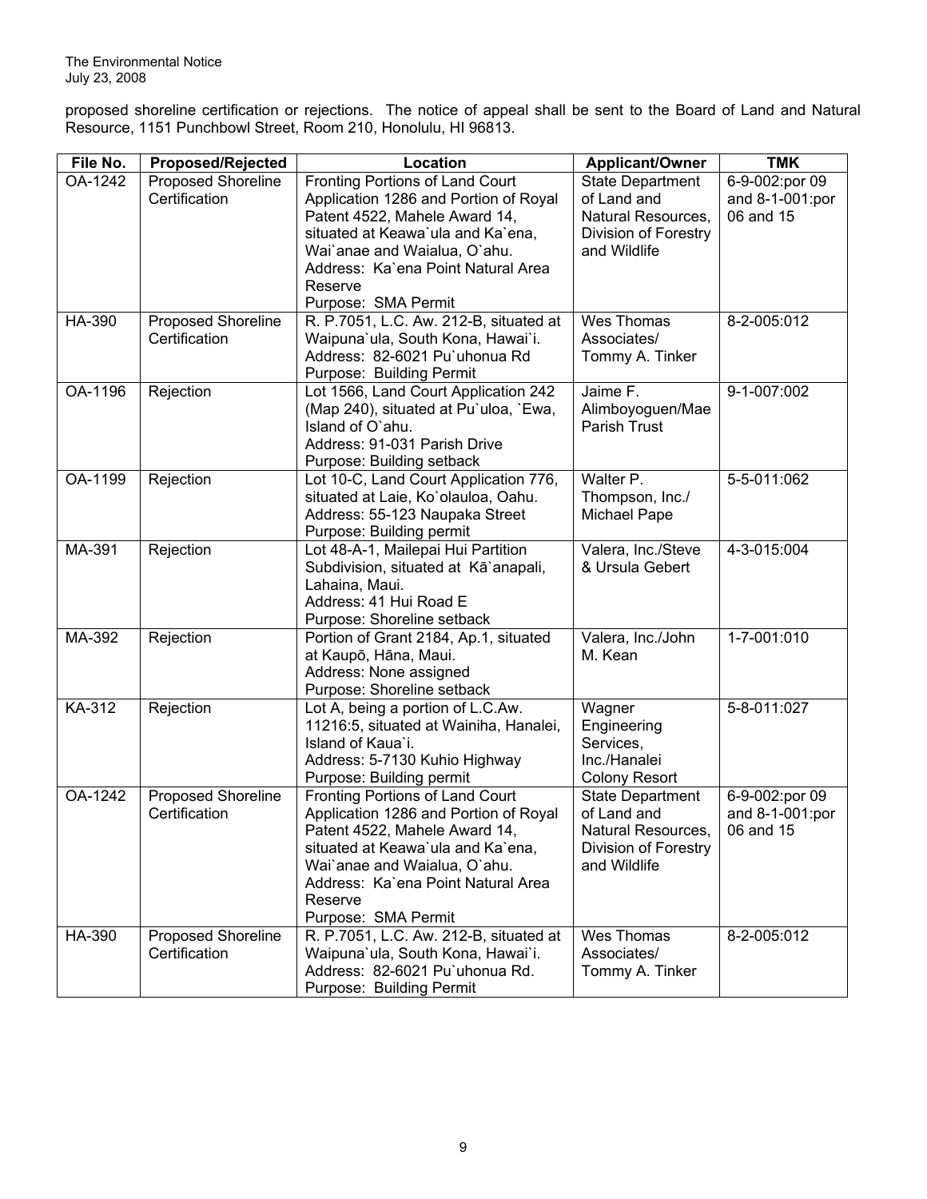proposed shoreline certification or rejections. The notice of appeal shall be sent to the Board of Land and Natural Resource, 1151 Punchbowl Street, Room 210, Honolulu, HI 96813.

| File No.      | <b>Proposed/Rejected</b> | Location                                                           | <b>Applicant/Owner</b>   | <b>TMK</b>      |
|---------------|--------------------------|--------------------------------------------------------------------|--------------------------|-----------------|
| OA-1242       | Proposed Shoreline       | Fronting Portions of Land Court                                    | <b>State Department</b>  | 6-9-002:por 09  |
|               | Certification            | Application 1286 and Portion of Royal                              | of Land and              | and 8-1-001:por |
|               |                          | Patent 4522, Mahele Award 14,                                      | Natural Resources,       | 06 and 15       |
|               |                          | situated at Keawa'ula and Ka'ena,                                  | Division of Forestry     |                 |
|               |                          | Wai'anae and Waialua, O'ahu.                                       | and Wildlife             |                 |
|               |                          | Address: Ka'ena Point Natural Area                                 |                          |                 |
|               |                          | Reserve                                                            |                          |                 |
|               |                          | Purpose: SMA Permit                                                |                          |                 |
| HA-390        | Proposed Shoreline       | R. P.7051, L.C. Aw. 212-B, situated at                             | Wes Thomas               | 8-2-005:012     |
|               | Certification            | Waipuna'ula, South Kona, Hawai'i.<br>Address: 82-6021 Pu'uhonua Rd | Associates/              |                 |
|               |                          |                                                                    | Tommy A. Tinker          |                 |
| OA-1196       | Rejection                | Purpose: Building Permit<br>Lot 1566, Land Court Application 242   | Jaime F.                 | 9-1-007:002     |
|               |                          | (Map 240), situated at Pu'uloa, `Ewa,                              | Alimboyoguen/Mae         |                 |
|               |                          | Island of O'ahu.                                                   | Parish Trust             |                 |
|               |                          | Address: 91-031 Parish Drive                                       |                          |                 |
|               |                          | Purpose: Building setback                                          |                          |                 |
| OA-1199       | Rejection                | Lot 10-C, Land Court Application 776,                              | Walter P.                | 5-5-011:062     |
|               |                          | situated at Laie, Ko'olauloa, Oahu.                                | Thompson, Inc./          |                 |
|               |                          | Address: 55-123 Naupaka Street                                     | Michael Pape             |                 |
|               |                          | Purpose: Building permit                                           |                          |                 |
| MA-391        | Rejection                | Lot 48-A-1, Mailepai Hui Partition                                 | Valera, Inc./Steve       | 4-3-015:004     |
|               |                          | Subdivision, situated at Kā`anapali,                               | & Ursula Gebert          |                 |
|               |                          | Lahaina, Maui.                                                     |                          |                 |
|               |                          | Address: 41 Hui Road E                                             |                          |                 |
|               |                          | Purpose: Shoreline setback                                         |                          |                 |
| MA-392        | Rejection                | Portion of Grant 2184, Ap.1, situated                              | Valera, Inc./John        | 1-7-001:010     |
|               |                          | at Kaupō, Hāna, Maui.                                              | M. Kean                  |                 |
|               |                          | Address: None assigned                                             |                          |                 |
|               |                          | Purpose: Shoreline setback                                         |                          |                 |
| KA-312        | Rejection                | Lot A, being a portion of L.C.Aw.                                  | Wagner                   | 5-8-011:027     |
|               |                          | 11216:5, situated at Wainiha, Hanalei,<br>Island of Kaua'i.        | Engineering<br>Services, |                 |
|               |                          | Address: 5-7130 Kuhio Highway                                      | Inc./Hanalei             |                 |
|               |                          | Purpose: Building permit                                           | Colony Resort            |                 |
| OA-1242       | Proposed Shoreline       | Fronting Portions of Land Court                                    | <b>State Department</b>  | 6-9-002:por 09  |
|               | Certification            | Application 1286 and Portion of Royal                              | of Land and              | and 8-1-001:por |
|               |                          | Patent 4522, Mahele Award 14,                                      | Natural Resources,       | 06 and 15       |
|               |                          | situated at Keawa'ula and Ka'ena,                                  | Division of Forestry     |                 |
|               |                          | Wai'anae and Waialua, O'ahu.                                       | and Wildlife             |                 |
|               |                          | Address: Ka'ena Point Natural Area                                 |                          |                 |
|               |                          | Reserve                                                            |                          |                 |
|               |                          | Purpose: SMA Permit                                                |                          |                 |
| <b>HA-390</b> | Proposed Shoreline       | R. P.7051, L.C. Aw. 212-B, situated at                             | Wes Thomas               | 8-2-005:012     |
|               | Certification            | Waipuna'ula, South Kona, Hawai'i.                                  | Associates/              |                 |
|               |                          | Address: 82-6021 Pu'uhonua Rd.                                     | Tommy A. Tinker          |                 |
|               |                          | Purpose: Building Permit                                           |                          |                 |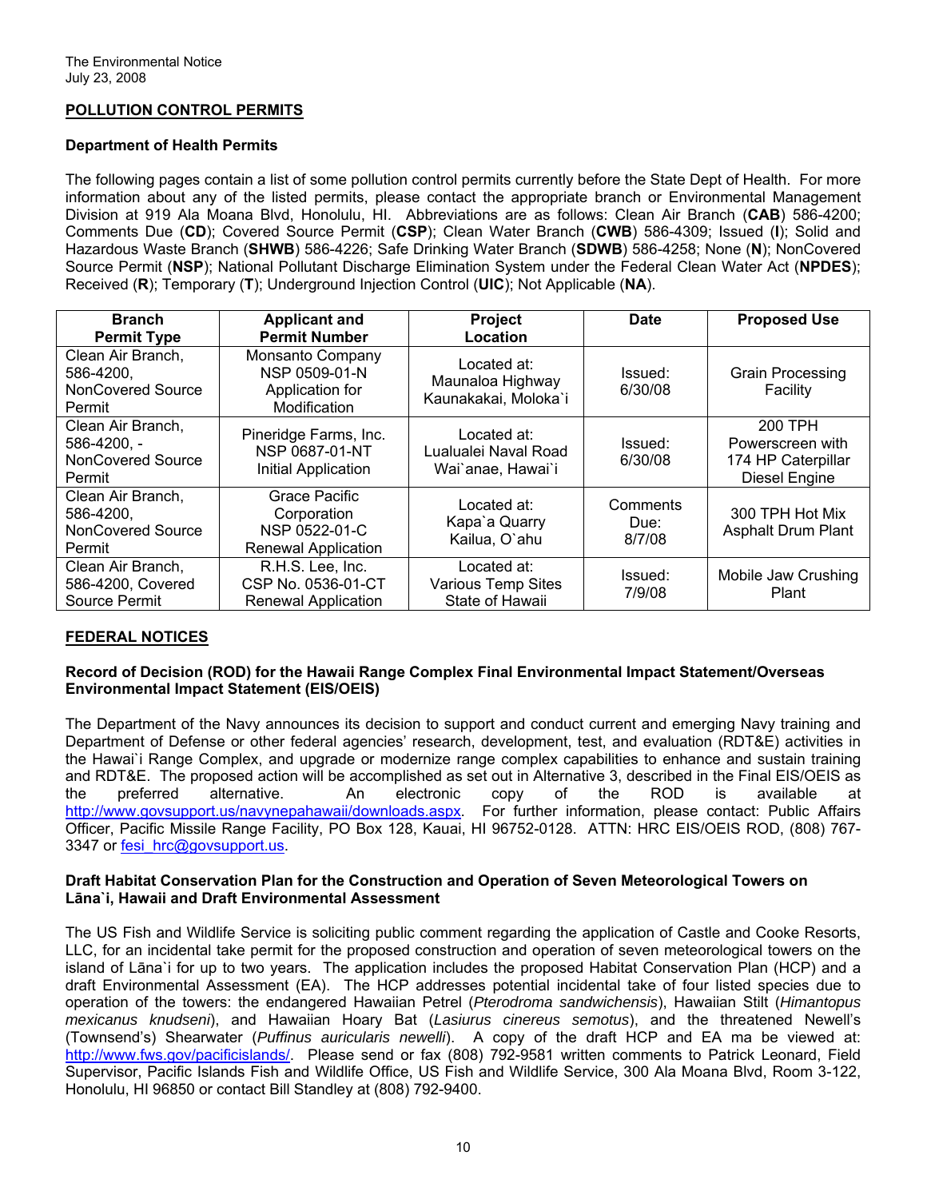## **POLLUTION CONTROL PERMITS**

#### **Department of Health Permits**

The following pages contain a list of some pollution control permits currently before the State Dept of Health. For more information about any of the listed permits, please contact the appropriate branch or Environmental Management Division at 919 Ala Moana Blvd, Honolulu, HI. Abbreviations are as follows: Clean Air Branch (**CAB**) 586-4200; Comments Due (**CD**); Covered Source Permit (**CSP**); Clean Water Branch (**CWB**) 586-4309; Issued (**I**); Solid and Hazardous Waste Branch (**SHWB**) 586-4226; Safe Drinking Water Branch (**SDWB**) 586-4258; None (**N**); NonCovered Source Permit (**NSP**); National Pollutant Discharge Elimination System under the Federal Clean Water Act (**NPDES**); Received (**R**); Temporary (**T**); Underground Injection Control (**UIC**); Not Applicable (**NA**).

| <b>Branch</b>                                                          | <b>Applicant and</b>                                                               | <b>Project</b>                                              | Date                       | <b>Proposed Use</b>                                                       |
|------------------------------------------------------------------------|------------------------------------------------------------------------------------|-------------------------------------------------------------|----------------------------|---------------------------------------------------------------------------|
| <b>Permit Type</b>                                                     | <b>Permit Number</b>                                                               | Location                                                    |                            |                                                                           |
| Clean Air Branch,<br>586-4200,<br>NonCovered Source<br>Permit          | Monsanto Company<br>NSP 0509-01-N<br>Application for<br>Modification               | Located at:<br>Maunaloa Highway<br>Kaunakakai, Moloka'i     | Issued:<br>6/30/08         | <b>Grain Processing</b><br>Facility                                       |
| Clean Air Branch,<br>586-4200, -<br><b>NonCovered Source</b><br>Permit | Pineridge Farms, Inc.<br><b>NSP 0687-01-NT</b><br>Initial Application              | Located at:<br>Lualualei Naval Road<br>Wai`anae, Hawai`i    | Issued:<br>6/30/08         | 200 TPH<br>Powerscreen with<br>174 HP Caterpillar<br><b>Diesel Engine</b> |
| Clean Air Branch,<br>586-4200,<br>NonCovered Source<br>Permit          | <b>Grace Pacific</b><br>Corporation<br>NSP 0522-01-C<br><b>Renewal Application</b> | Located at:<br>Kapa'a Quarry<br>Kailua, O'ahu               | Comments<br>Due:<br>8/7/08 | 300 TPH Hot Mix<br><b>Asphalt Drum Plant</b>                              |
| Clean Air Branch,<br>586-4200, Covered<br>Source Permit                | R.H.S. Lee, Inc.<br>CSP No. 0536-01-CT<br><b>Renewal Application</b>               | Located at:<br><b>Various Temp Sites</b><br>State of Hawaii | Issued:<br>7/9/08          | Mobile Jaw Crushing<br>Plant                                              |

## **FEDERAL NOTICES**

#### **Record of Decision (ROD) for the Hawaii Range Complex Final Environmental Impact Statement/Overseas Environmental Impact Statement (EIS/OEIS)**

The Department of the Navy announces its decision to support and conduct current and emerging Navy training and Department of Defense or other federal agencies' research, development, test, and evaluation (RDT&E) activities in the Hawai`i Range Complex, and upgrade or modernize range complex capabilities to enhance and sustain training and RDT&E. The proposed action will be accomplished as set out in Alternative 3, described in the Final EIS/OEIS as the preferred alternative. An electronic copy of the ROD is available at [http://www.govsupport.us/navynepahawaii/downloads.aspx.](http://www.govsupport.us/navynepahawaii/downloads.aspx) For further information, please contact: Public Affairs Officer, Pacific Missile Range Facility, PO Box 128, Kauai, HI 96752-0128. ATTN: HRC EIS/OEIS ROD, (808) 767- 3347 or fesi hrc@govsupport.us.

#### **Draft Habitat Conservation Plan for the Construction and Operation of Seven Meteorological Towers on Lāna`i, Hawaii and Draft Environmental Assessment**

The US Fish and Wildlife Service is soliciting public comment regarding the application of Castle and Cooke Resorts, LLC, for an incidental take permit for the proposed construction and operation of seven meteorological towers on the island of Lāna`i for up to two years. The application includes the proposed Habitat Conservation Plan (HCP) and a draft Environmental Assessment (EA). The HCP addresses potential incidental take of four listed species due to operation of the towers: the endangered Hawaiian Petrel (*Pterodroma sandwichensis*), Hawaiian Stilt (*Himantopus mexicanus knudseni*), and Hawaiian Hoary Bat (*Lasiurus cinereus semotus*), and the threatened Newell's (Townsend's) Shearwater (*Puffinus auricularis newelli*). A copy of the draft HCP and EA ma be viewed at: [http://www.fws.gov/pacificislands/.](http://www.fws.gov/pacificislands/) Please send or fax (808) 792-9581 written comments to Patrick Leonard, Field Supervisor, Pacific Islands Fish and Wildlife Office, US Fish and Wildlife Service, 300 Ala Moana Blvd, Room 3-122, Honolulu, HI 96850 or contact Bill Standley at (808) 792-9400.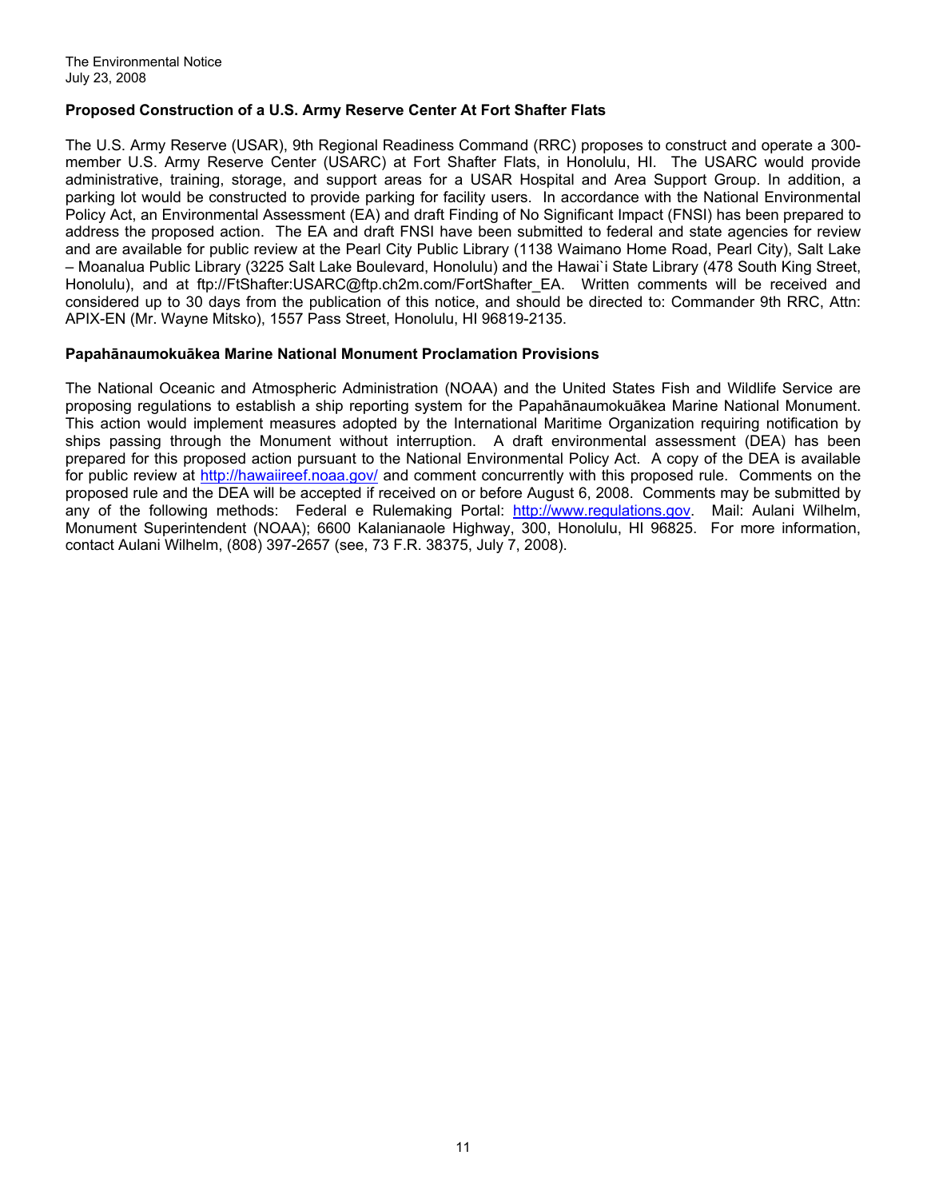#### **Proposed Construction of a U.S. Army Reserve Center At Fort Shafter Flats**

The U.S. Army Reserve (USAR), 9th Regional Readiness Command (RRC) proposes to construct and operate a 300 member U.S. Army Reserve Center (USARC) at Fort Shafter Flats, in Honolulu, HI. The USARC would provide administrative, training, storage, and support areas for a USAR Hospital and Area Support Group. In addition, a parking lot would be constructed to provide parking for facility users. In accordance with the National Environmental Policy Act, an Environmental Assessment (EA) and draft Finding of No Significant Impact (FNSI) has been prepared to address the proposed action. The EA and draft FNSI have been submitted to federal and state agencies for review and are available for public review at the Pearl City Public Library (1138 Waimano Home Road, Pearl City), Salt Lake – Moanalua Public Library (3225 Salt Lake Boulevard, Honolulu) and the Hawai`i State Library (478 South King Street, Honolulu), and at ftp://FtShafter:USARC@ftp.ch2m.com/FortShafter\_EA. Written comments will be received and considered up to 30 days from the publication of this notice, and should be directed to: Commander 9th RRC, Attn: APIX-EN (Mr. Wayne Mitsko), 1557 Pass Street, Honolulu, HI 96819-2135.

#### **Papahānaumokuākea Marine National Monument Proclamation Provisions**

The National Oceanic and Atmospheric Administration (NOAA) and the United States Fish and Wildlife Service are proposing regulations to establish a ship reporting system for the Papahānaumokuākea Marine National Monument. This action would implement measures adopted by the International Maritime Organization requiring notification by ships passing through the Monument without interruption. A draft environmental assessment (DEA) has been prepared for this proposed action pursuant to the National Environmental Policy Act. A copy of the DEA is available for public review at [http://hawaiireef.noaa.gov/](http://frwebgate.access.gpo.gov/cgi-bin/leaving.cgi?from=leavingFR.html&log=linklog&to=http://hawaiireef.noaa.gov/) and comment concurrently with this proposed rule. Comments on the proposed rule and the DEA will be accepted if received on or before August 6, 2008. Comments may be submitted by any of the following methods: Federal e Rulemaking Portal: [http://www.regulations.gov](http://frwebgate.access.gpo.gov/cgi-bin/leaving.cgi?from=leavingFR.html&log=linklog&to=http://www.regulations.gov). Mail: Aulani Wilhelm, Monument Superintendent (NOAA); 6600 Kalanianaole Highway, 300, Honolulu, HI 96825. For more information, contact Aulani Wilhelm, (808) 397-2657 (see, 73 F.R. 38375, July 7, 2008).